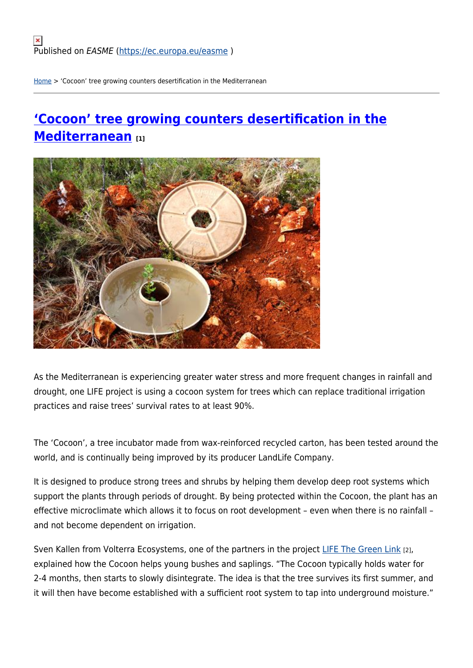[Home](https://ec.europa.eu/easme/en) > 'Cocoon' tree growing counters desertification in the Mediterranean

# **['Cocoon' tree growing counters desertification in the](https://ec.europa.eu/easme/en/news/cocoon-tree-growing-counters-desertification-mediterranean) [Mediterranean](https://ec.europa.eu/easme/en/news/cocoon-tree-growing-counters-desertification-mediterranean) [1]**



As the Mediterranean is experiencing greater water stress and more frequent changes in rainfall and drought, one LIFE project is using a cocoon system for trees which can replace traditional irrigation practices and raise trees' survival rates to at least 90%.

The 'Cocoon', a tree incubator made from wax-reinforced recycled carton, has been tested around the world, and is continually being improved by its producer LandLife Company.

It is designed to produce strong trees and shrubs by helping them develop deep root systems which support the plants through periods of drought. By being protected within the Cocoon, the plant has an effective microclimate which allows it to focus on root development – even when there is no rainfall – and not become dependent on irrigation.

Sven Kallen from Volterra Ecosystems, one of the partners in the project [LIFE The Green Link](http://thegreenlink.eu/en/home/) [2], explained how the Cocoon helps young bushes and saplings. "The Cocoon typically holds water for 2-4 months, then starts to slowly disintegrate. The idea is that the tree survives its first summer, and it will then have become established with a sufficient root system to tap into underground moisture."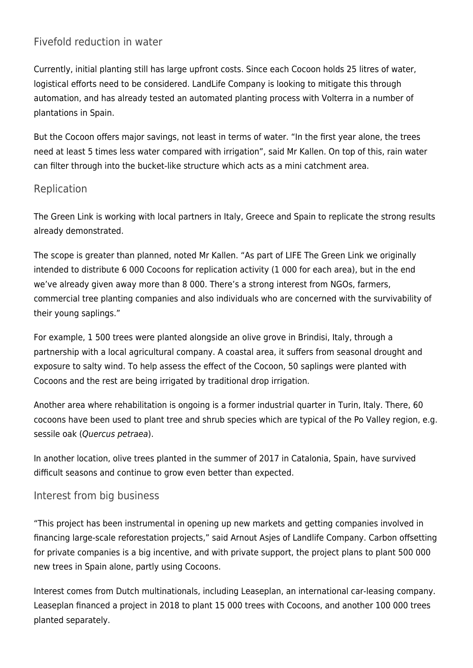## Fivefold reduction in water

Currently, initial planting still has large upfront costs. Since each Cocoon holds 25 litres of water, logistical efforts need to be considered. LandLife Company is looking to mitigate this through automation, and has already tested an automated planting process with Volterra in a number of plantations in Spain.

But the Cocoon offers major savings, not least in terms of water. "In the first year alone, the trees need at least 5 times less water compared with irrigation", said Mr Kallen. On top of this, rain water can filter through into the bucket-like structure which acts as a mini catchment area.

#### Replication

The Green Link is working with local partners in Italy, Greece and Spain to replicate the strong results already demonstrated.

The scope is greater than planned, noted Mr Kallen. "As part of LIFE The Green Link we originally intended to distribute 6 000 Cocoons for replication activity (1 000 for each area), but in the end we've already given away more than 8 000. There's a strong interest from NGOs, farmers, commercial tree planting companies and also individuals who are concerned with the survivability of their young saplings."

For example, 1 500 trees were planted alongside an olive grove in Brindisi, Italy, through a partnership with a local agricultural company. A coastal area, it suffers from seasonal drought and exposure to salty wind. To help assess the effect of the Cocoon, 50 saplings were planted with Cocoons and the rest are being irrigated by traditional drop irrigation.

Another area where rehabilitation is ongoing is a former industrial quarter in Turin, Italy. There, 60 cocoons have been used to plant tree and shrub species which are typical of the Po Valley region, e.g. sessile oak (Quercus petraea).

In another location, olive trees planted in the summer of 2017 in Catalonia, Spain, have survived difficult seasons and continue to grow even better than expected.

### Interest from big business

"This project has been instrumental in opening up new markets and getting companies involved in financing large-scale reforestation projects," said Arnout Asjes of Landlife Company. Carbon offsetting for private companies is a big incentive, and with private support, the project plans to plant 500 000 new trees in Spain alone, partly using Cocoons.

Interest comes from Dutch multinationals, including Leaseplan, an international car-leasing company. Leaseplan financed a project in 2018 to plant 15 000 trees with Cocoons, and another 100 000 trees planted separately.